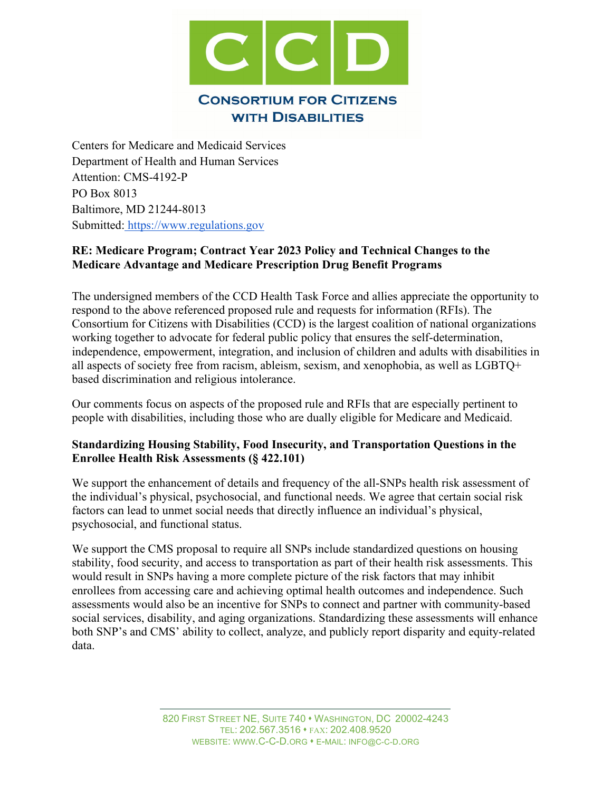

Centers for Medicare and Medicaid Services Department of Health and Human Services Attention: CMS-4192-P PO Box 8013 Baltimore, MD 21244-8013 Submitted: [https://www.regulations.gov](https://www.regulations.gov/)

# **RE: Medicare Program; Contract Year 2023 Policy and Technical Changes to the Medicare Advantage and Medicare Prescription Drug Benefit Programs**

The undersigned members of the CCD Health Task Force and allies appreciate the opportunity to respond to the above referenced proposed rule and requests for information (RFIs). The Consortium for Citizens with Disabilities (CCD) is the largest coalition of national organizations working together to advocate for federal public policy that ensures the self-determination, independence, empowerment, integration, and inclusion of children and adults with disabilities in all aspects of society free from racism, ableism, sexism, and xenophobia, as well as LGBTQ+ based discrimination and religious intolerance.

Our comments focus on aspects of the proposed rule and RFIs that are especially pertinent to people with disabilities, including those who are dually eligible for Medicare and Medicaid.

## **Standardizing Housing Stability, Food Insecurity, and Transportation Questions in the Enrollee Health Risk Assessments (§ 422.101)**

We support the enhancement of details and frequency of the all-SNPs health risk assessment of the individual's physical, psychosocial, and functional needs. We agree that certain social risk factors can lead to unmet social needs that directly influence an individual's physical, psychosocial, and functional status.

We support the CMS proposal to require all SNPs include standardized questions on housing stability, food security, and access to transportation as part of their health risk assessments. This would result in SNPs having a more complete picture of the risk factors that may inhibit enrollees from accessing care and achieving optimal health outcomes and independence. Such assessments would also be an incentive for SNPs to connect and partner with community-based social services, disability, and aging organizations. Standardizing these assessments will enhance both SNP's and CMS' ability to collect, analyze, and publicly report disparity and equity-related data.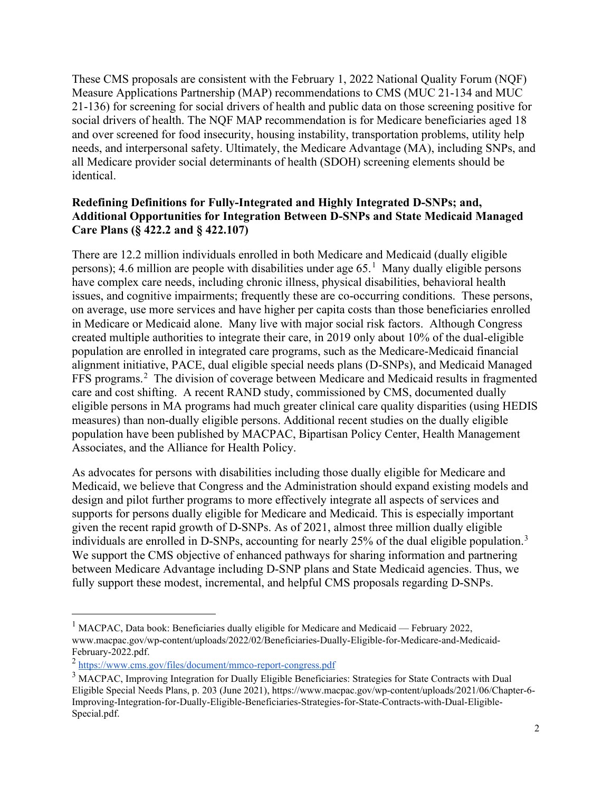These CMS proposals are consistent with the February 1, 2022 National Quality Forum (NQF) Measure Applications Partnership (MAP) recommendations to CMS (MUC 21-134 and MUC 21-136) for screening for social drivers of health and public data on those screening positive for social drivers of health. The NQF MAP recommendation is for Medicare beneficiaries aged 18 and over screened for food insecurity, housing instability, transportation problems, utility help needs, and interpersonal safety. Ultimately, the Medicare Advantage (MA), including SNPs, and all Medicare provider social determinants of health (SDOH) screening elements should be identical.

## **Redefining Definitions for Fully-Integrated and Highly Integrated D-SNPs; and, Additional Opportunities for Integration Between D-SNPs and State Medicaid Managed Care Plans (§ 422.2 and § 422.107)**

There are 12.2 million individuals enrolled in both Medicare and Medicaid (dually eligible persons); 4.6 million are people with disabilities under age  $65.<sup>1</sup>$  $65.<sup>1</sup>$  $65.<sup>1</sup>$  Many dually eligible persons have complex care needs, including chronic illness, physical disabilities, behavioral health issues, and cognitive impairments; frequently these are co-occurring conditions. These persons, on average, use more services and have higher per capita costs than those beneficiaries enrolled in Medicare or Medicaid alone. Many live with major social risk factors. Although Congress created multiple authorities to integrate their care, in 2019 only about 10% of the dual-eligible population are enrolled in integrated care programs, such as the Medicare-Medicaid financial alignment initiative, PACE, dual eligible special needs plans (D-SNPs), and Medicaid Managed FFS programs.<sup>[2](#page-1-1)</sup> The division of coverage between Medicare and Medicaid results in fragmented care and cost shifting. A recent RAND study, commissioned by CMS, documented dually eligible persons in MA programs had much greater clinical care quality disparities (using HEDIS measures) than non-dually eligible persons. Additional recent studies on the dually eligible population have been published by MACPAC, Bipartisan Policy Center, Health Management Associates, and the Alliance for Health Policy.

As advocates for persons with disabilities including those dually eligible for Medicare and Medicaid, we believe that Congress and the Administration should expand existing models and design and pilot further programs to more effectively integrate all aspects of services and supports for persons dually eligible for Medicare and Medicaid. This is especially important given the recent rapid growth of D-SNPs. As of 2021, almost three million dually eligible individuals are enrolled in D-SNPs, accounting for nearly 25% of the dual eligible population.<sup>[3](#page-1-2)</sup> We support the CMS objective of enhanced pathways for sharing information and partnering between Medicare Advantage including D-SNP plans and State Medicaid agencies. Thus, we fully support these modest, incremental, and helpful CMS proposals regarding D-SNPs.

<span id="page-1-0"></span> $1$  MACPAC, Data book: Beneficiaries dually eligible for Medicare and Medicaid — February 2022, www.macpac.gov/wp-content/uploads/2022/02/Beneficiaries-Dually-Eligible-for-Medicare-and-Medicaid-February-2022.pdf.

<span id="page-1-1"></span><sup>2</sup> <https://www.cms.gov/files/document/mmco-report-congress.pdf>

<span id="page-1-2"></span><sup>&</sup>lt;sup>3</sup> MACPAC, Improving Integration for Dually Eligible Beneficiaries: Strategies for State Contracts with Dual Eligible Special Needs Plans, p. 203 (June 2021), [https://www.macpac.gov/wp-content/uploads/2021/06/Chapter-6-](https://www.macpac.gov/wp-content/uploads/2021/06/Chapter-6-Improving-Integration-for-Dually-Eligible-Beneficiaries-Strategies-for-State-Contracts-with-Dual-Eligible-Special.pdf) [Improving-Integration-for-Dually-Eligible-Beneficiaries-Strategies-for-State-Contracts-with-Dual-Eligible-](https://www.macpac.gov/wp-content/uploads/2021/06/Chapter-6-Improving-Integration-for-Dually-Eligible-Beneficiaries-Strategies-for-State-Contracts-with-Dual-Eligible-Special.pdf)[Special.pdf.](https://www.macpac.gov/wp-content/uploads/2021/06/Chapter-6-Improving-Integration-for-Dually-Eligible-Beneficiaries-Strategies-for-State-Contracts-with-Dual-Eligible-Special.pdf)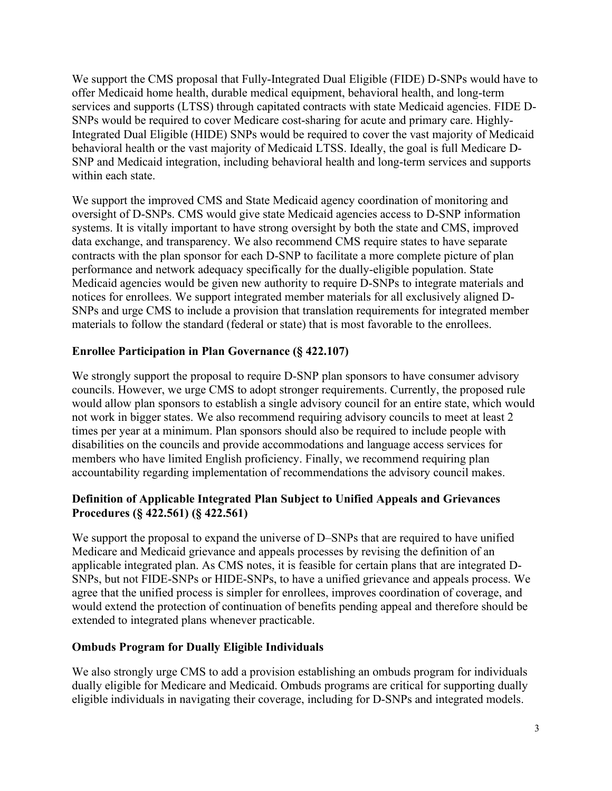We support the CMS proposal that Fully-Integrated Dual Eligible (FIDE) D-SNPs would have to offer Medicaid home health, durable medical equipment, behavioral health, and long-term services and supports (LTSS) through capitated contracts with state Medicaid agencies. FIDE D-SNPs would be required to cover Medicare cost-sharing for acute and primary care. Highly-Integrated Dual Eligible (HIDE) SNPs would be required to cover the vast majority of Medicaid behavioral health or the vast majority of Medicaid LTSS. Ideally, the goal is full Medicare D-SNP and Medicaid integration, including behavioral health and long-term services and supports within each state.

We support the improved CMS and State Medicaid agency coordination of monitoring and oversight of D-SNPs. CMS would give state Medicaid agencies access to D-SNP information systems. It is vitally important to have strong oversight by both the state and CMS, improved data exchange, and transparency. We also recommend CMS require states to have separate contracts with the plan sponsor for each D-SNP to facilitate a more complete picture of plan performance and network adequacy specifically for the dually-eligible population. State Medicaid agencies would be given new authority to require D-SNPs to integrate materials and notices for enrollees. We support integrated member materials for all exclusively aligned D-SNPs and urge CMS to include a provision that translation requirements for integrated member materials to follow the standard (federal or state) that is most favorable to the enrollees.

# **Enrollee Participation in Plan Governance (§ 422.107)**

We strongly support the proposal to require D-SNP plan sponsors to have consumer advisory councils. However, we urge CMS to adopt stronger requirements. Currently, the proposed rule would allow plan sponsors to establish a single advisory council for an entire state, which would not work in bigger states. We also recommend requiring advisory councils to meet at least 2 times per year at a minimum. Plan sponsors should also be required to include people with disabilities on the councils and provide accommodations and language access services for members who have limited English proficiency. Finally, we recommend requiring plan accountability regarding implementation of recommendations the advisory council makes.

# **Definition of Applicable Integrated Plan Subject to Unified Appeals and Grievances Procedures (§ 422.561) (§ 422.561)**

We support the proposal to expand the universe of D–SNPs that are required to have unified Medicare and Medicaid grievance and appeals processes by revising the definition of an applicable integrated plan. As CMS notes, it is feasible for certain plans that are integrated D-SNPs, but not FIDE-SNPs or HIDE-SNPs, to have a unified grievance and appeals process. We agree that the unified process is simpler for enrollees, improves coordination of coverage, and would extend the protection of continuation of benefits pending appeal and therefore should be extended to integrated plans whenever practicable.

## **Ombuds Program for Dually Eligible Individuals**

We also strongly urge CMS to add a provision establishing an ombuds program for individuals dually eligible for Medicare and Medicaid. Ombuds programs are critical for supporting dually eligible individuals in navigating their coverage, including for D-SNPs and integrated models.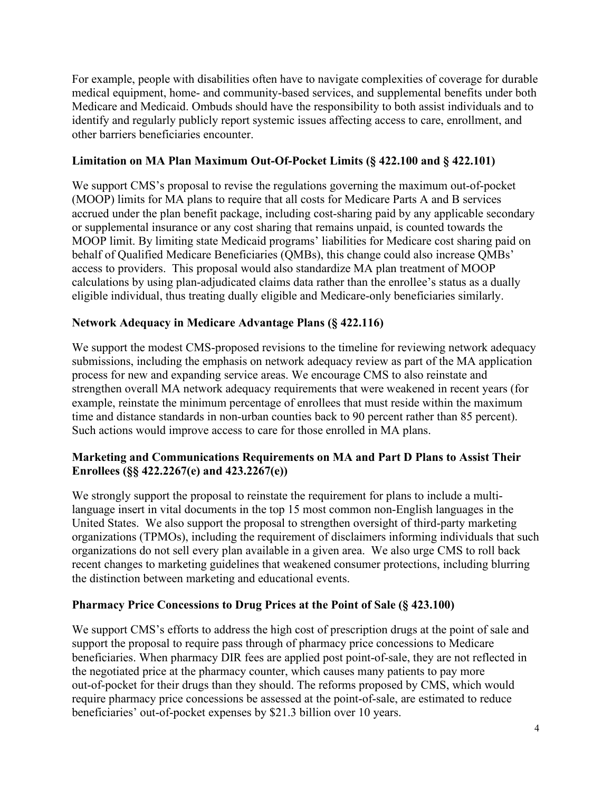For example, people with disabilities often have to navigate complexities of coverage for durable medical equipment, home- and community-based services, and supplemental benefits under both Medicare and Medicaid. Ombuds should have the responsibility to both assist individuals and to identify and regularly publicly report systemic issues affecting access to care, enrollment, and other barriers beneficiaries encounter.

## **Limitation on MA Plan Maximum Out-Of-Pocket Limits (§ 422.100 and § 422.101)**

We support CMS's proposal to revise the regulations governing the maximum out-of-pocket (MOOP) limits for MA plans to require that all costs for Medicare Parts A and B services accrued under the plan benefit package, including cost-sharing paid by any applicable secondary or supplemental insurance or any cost sharing that remains unpaid, is counted towards the MOOP limit. By limiting state Medicaid programs' liabilities for Medicare cost sharing paid on behalf of Qualified Medicare Beneficiaries (QMBs), this change could also increase QMBs' access to providers. This proposal would also standardize MA plan treatment of MOOP calculations by using plan-adjudicated claims data rather than the enrollee's status as a dually eligible individual, thus treating dually eligible and Medicare-only beneficiaries similarly.

# **Network Adequacy in Medicare Advantage Plans (§ 422.116)**

We support the modest CMS-proposed revisions to the timeline for reviewing network adequacy submissions, including the emphasis on network adequacy review as part of the MA application process for new and expanding service areas. We encourage CMS to also reinstate and strengthen overall MA network adequacy requirements that were weakened in recent years (for example, reinstate the minimum percentage of enrollees that must reside within the maximum time and distance standards in non-urban counties back to 90 percent rather than 85 percent). Such actions would improve access to care for those enrolled in MA plans.

# **Marketing and Communications Requirements on MA and Part D Plans to Assist Their Enrollees (§§ 422.2267(e) and 423.2267(e))**

We strongly support the proposal to reinstate the requirement for plans to include a multilanguage insert in vital documents in the top 15 most common non-English languages in the United States. We also support the proposal to strengthen oversight of third-party marketing organizations (TPMOs), including the requirement of disclaimers informing individuals that such organizations do not sell every plan available in a given area. We also urge CMS to roll back recent changes to marketing guidelines that weakened consumer protections, including blurring the distinction between marketing and educational events.

## **Pharmacy Price Concessions to Drug Prices at the Point of Sale (§ 423.100)**

We support CMS's efforts to address the high cost of prescription drugs at the point of sale and support the proposal to require pass through of pharmacy price concessions to Medicare beneficiaries. When pharmacy DIR fees are applied post point-of-sale, they are not reflected in the negotiated price at the pharmacy counter, which causes many patients to pay more out‐of‐pocket for their drugs than they should. The reforms proposed by CMS, which would require pharmacy price concessions be assessed at the point‐of‐sale, are estimated to reduce beneficiaries' out-of-pocket expenses by \$21.3 billion over 10 years.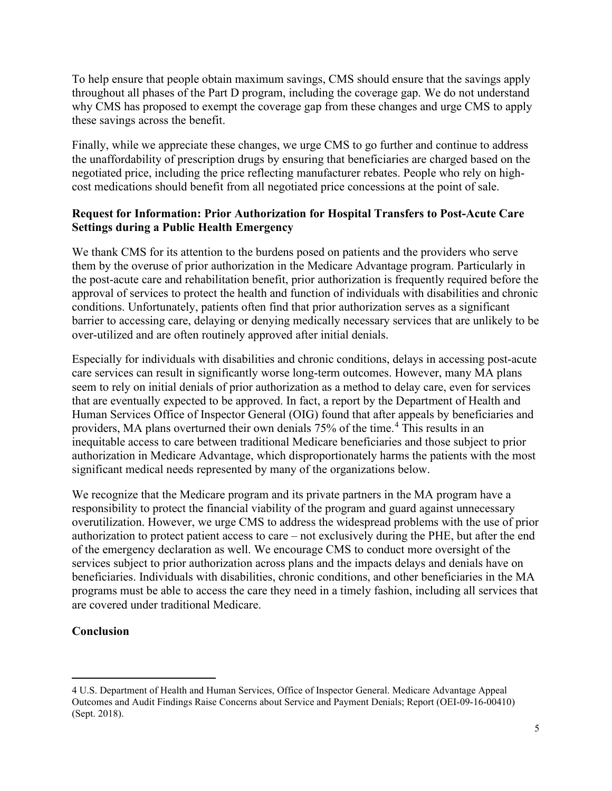To help ensure that people obtain maximum savings, CMS should ensure that the savings apply throughout all phases of the Part D program, including the coverage gap. We do not understand why CMS has proposed to exempt the coverage gap from these changes and urge CMS to apply these savings across the benefit.

Finally, while we appreciate these changes, we urge CMS to go further and continue to address the unaffordability of prescription drugs by ensuring that beneficiaries are charged based on the negotiated price, including the price reflecting manufacturer rebates. People who rely on highcost medications should benefit from all negotiated price concessions at the point of sale.

## **Request for Information: Prior Authorization for Hospital Transfers to Post-Acute Care Settings during a Public Health Emergency**

We thank CMS for its attention to the burdens posed on patients and the providers who serve them by the overuse of prior authorization in the Medicare Advantage program. Particularly in the post-acute care and rehabilitation benefit, prior authorization is frequently required before the approval of services to protect the health and function of individuals with disabilities and chronic conditions. Unfortunately, patients often find that prior authorization serves as a significant barrier to accessing care, delaying or denying medically necessary services that are unlikely to be over-utilized and are often routinely approved after initial denials.

Especially for individuals with disabilities and chronic conditions, delays in accessing post-acute care services can result in significantly worse long-term outcomes. However, many MA plans seem to rely on initial denials of prior authorization as a method to delay care, even for services that are eventually expected to be approved. In fact, a report by the Department of Health and Human Services Office of Inspector General (OIG) found that after appeals by beneficiaries and providers, MA plans overturned their own denials 75% of the time.[4](#page-4-0) This results in an inequitable access to care between traditional Medicare beneficiaries and those subject to prior authorization in Medicare Advantage, which disproportionately harms the patients with the most significant medical needs represented by many of the organizations below.

We recognize that the Medicare program and its private partners in the MA program have a responsibility to protect the financial viability of the program and guard against unnecessary overutilization. However, we urge CMS to address the widespread problems with the use of prior authorization to protect patient access to care – not exclusively during the PHE, but after the end of the emergency declaration as well. We encourage CMS to conduct more oversight of the services subject to prior authorization across plans and the impacts delays and denials have on beneficiaries. Individuals with disabilities, chronic conditions, and other beneficiaries in the MA programs must be able to access the care they need in a timely fashion, including all services that are covered under traditional Medicare.

# **Conclusion**

<span id="page-4-0"></span><sup>4</sup> U.S. Department of Health and Human Services, Office of Inspector General. Medicare Advantage Appeal Outcomes and Audit Findings Raise Concerns about Service and Payment Denials; Report (OEI-09-16-00410) (Sept. 2018).